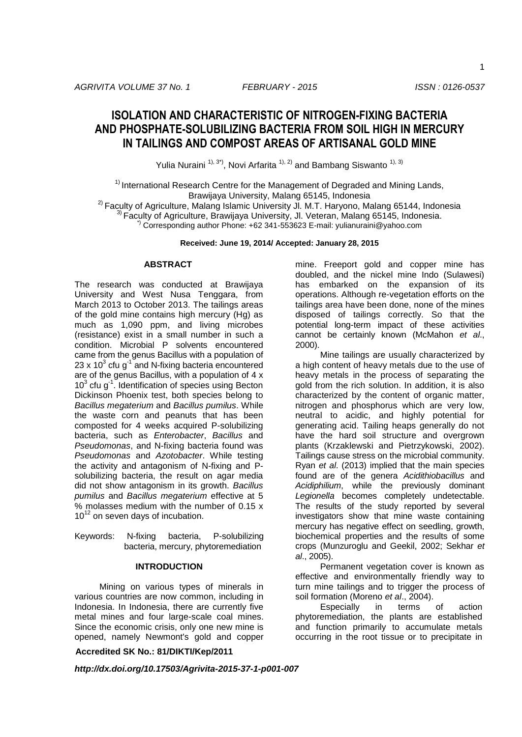1

# **ISOLATION AND CHARACTERISTIC OF NITROGEN-FIXING BACTERIA AND PHOSPHATE-SOLUBILIZING BACTERIA FROM SOIL HIGH IN MERCURY IN TAILINGS AND COMPOST AREAS OF ARTISANAL GOLD MINE**

Yulia Nuraini  $1^{1,3^*}$ , Novi Arfarita  $1^{1,2)}$  and Bambang Siswanto  $1^{1,3}$ 

 $1)$  International Research Centre for the Management of Degraded and Mining Lands, Brawijaya University, Malang 65145, Indonesia

 $2)$  Faculty of Agriculture, Malang Islamic University JI. M.T. Haryono, Malang 65144, Indonesia 3) Faculty of Agriculture, Brawijaya University, Jl. Veteran, Malang 65145, Indonesia. \*) Corresponding author Phone: +62 341-553623 E-mail: yulianuraini@yahoo.com

**Received: June 19, 2014/ Accepted: January 28, 2015**

# **ABSTRACT**

The research was conducted at Brawijaya University and West Nusa Tenggara, from March 2013 to October 2013. The tailings areas of the gold mine contains high mercury (Hg) as much as 1,090 ppm, and living microbes (resistance) exist in a small number in such a condition. Microbial P solvents encountered came from the genus Bacillus with a population of 23 x 10 $3$  cfu g<sup>-1</sup> and N-fixing bacteria encountered are of the genus Bacillus, with a population of 4 x  $10<sup>3</sup>$  cfu g<sup>-1</sup>. Identification of species using Becton Dickinson Phoenix test, both species belong to *Bacillus megaterium* and *Bacillus pumilus*. While the waste corn and peanuts that has been composted for 4 weeks acquired P-solubilizing bacteria, such as *Enterobacter*, *Bacillus* and *Pseudomonas*, and N-fixing bacteria found was *Pseudomonas* and *Azotobacter*. While testing the activity and antagonism of N-fixing and Psolubilizing bacteria, the result on agar media did not show antagonism in its growth. *Bacillus pumilus* and *Bacillus megaterium* effective at 5 % molasses medium with the number of 0.15 x  $10^{12}$  on seven days of incubation.

Keywords: N-fixing bacteria, P-solubilizing bacteria, mercury, phytoremediation

# **INTRODUCTION**

Mining on various types of minerals in various countries are now common, including in Indonesia. In Indonesia, there are currently five metal mines and four large-scale coal mines. Since the economic crisis, only one new mine is opened, namely Newmont's gold and copper

**Accredited SK No.: 81/DIKTI/Kep/2011**

mine. Freeport gold and copper mine has doubled, and the nickel mine Indo (Sulawesi) has embarked on the expansion of its operations. Although re-vegetation efforts on the tailings area have been done, none of the mines disposed of tailings correctly. So that the potential long-term impact of these activities cannot be certainly known (McMahon *et al*., 2000).

Mine tailings are usually characterized by a high content of heavy metals due to the use of heavy metals in the process of separating the gold from the rich solution. In addition, it is also characterized by the content of organic matter, nitrogen and phosphorus which are very low, neutral to acidic, and highly potential for generating acid. Tailing heaps generally do not have the hard soil structure and overgrown plants (Krzaklewski and Pietrzykowski, 2002). Tailings cause stress on the microbial community. Ryan *et al*. (2013) implied that the main species found are of the genera *Acidithiobacillus* and *Acidiphilium*, while the previously dominant *Legionella* becomes completely undetectable. The results of the study reported by several investigators show that mine waste containing mercury has negative effect on seedling, growth, biochemical properties and the results of some crops (Munzuroglu and Geekil, 2002; Sekhar *et al*., 2005).

Permanent vegetation cover is known as effective and environmentally friendly way to turn mine tailings and to trigger the process of soil formation (Moreno *et al*., 2004).

Especially in terms of action phytoremediation, the plants are established and function primarily to accumulate metals occurring in the root tissue or to precipitate in

*http://dx.doi.org/10.17503/Agrivita-2015-37-1-p001-007*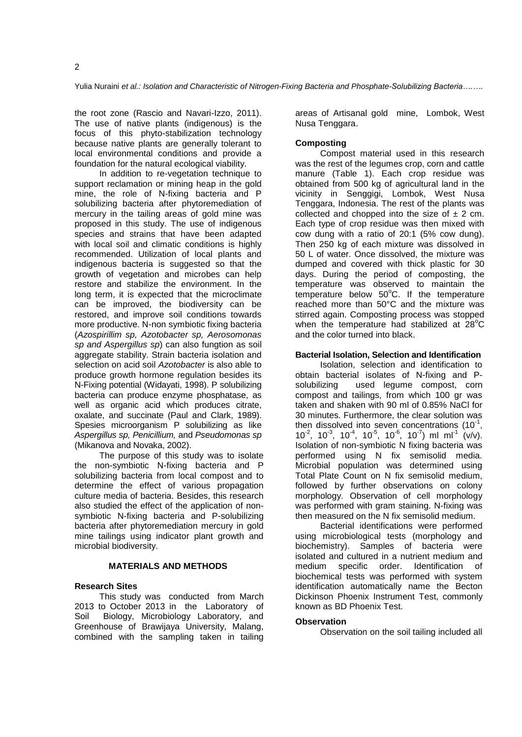the root zone (Rascio and Navari-Izzo, 2011). The use of native plants (indigenous) is the focus of this phyto-stabilization technology because native plants are generally tolerant to local environmental conditions and provide a foundation for the natural ecological viability.

In addition to re-vegetation technique to support reclamation or mining heap in the gold mine, the role of N-fixing bacteria and P solubilizing bacteria after phytoremediation of mercury in the tailing areas of gold mine was proposed in this study. The use of indigenous species and strains that have been adapted with local soil and climatic conditions is highly recommended. Utilization of local plants and indigenous bacteria is suggested so that the growth of vegetation and microbes can help restore and stabilize the environment. In the long term, it is expected that the microclimate can be improved, the biodiversity can be restored, and improve soil conditions towards more productive. N-non symbiotic fixing bacteria (*Azospirillim sp, Azotobacter sp, Aerosomonas sp and Aspergillus sp*) can also fungtion as soil aggregate stability. Strain bacteria isolation and selection on acid soil *Azotobacter* is also able to produce growth hormone regulation besides its N-Fixing potential (Widayati, 1998). P solubilizing bacteria can produce enzyme phosphatase, as well as organic acid which produces citrate, oxalate, and succinate (Paul and Clark, 1989). Spesies microorganism P solubilizing as like *Aspergillus sp, Penicillium,* and *Pseudomonas sp* (Mikanova and Novaka, 2002).

The purpose of this study was to isolate the non-symbiotic N-fixing bacteria and P solubilizing bacteria from local compost and to determine the effect of various propagation culture media of bacteria. Besides, this research also studied the effect of the application of nonsymbiotic N-fixing bacteria and P-solubilizing bacteria after phytoremediation mercury in gold mine tailings using indicator plant growth and microbial biodiversity.

# **MATERIALS AND METHODS**

## **Research Sites**

This study was conducted from March 2013 to October 2013 in the Laboratory of Soil Biology, Microbiology Laboratory, and Greenhouse of Brawijaya University, Malang, combined with the sampling taken in tailing

areas of Artisanal gold mine, Lombok, West Nusa Tenggara.

# **Composting**

Compost material used in this research was the rest of the legumes crop, corn and cattle manure (Table 1). Each crop residue was obtained from 500 kg of agricultural land in the vicinity in Senggigi, Lombok, West Nusa Tenggara, Indonesia. The rest of the plants was collected and chopped into the size of  $\pm$  2 cm. Each type of crop residue was then mixed with cow dung with a ratio of 20:1 (5% cow dung). Then 250 kg of each mixture was dissolved in 50 L of water. Once dissolved, the mixture was dumped and covered with thick plastic for 30 days. During the period of composting, the temperature was observed to maintain the temperature below  $50^{\circ}$ C. If the temperature reached more than 50°C and the mixture was stirred again. Composting process was stopped when the temperature had stabilized at  $28^{\circ}$ C and the color turned into black.

# **Bacterial Isolation, Selection and Identification**

Isolation, selection and identification to obtain bacterial isolates of N-fixing and Psolubilizing used legume compost, corn compost and tailings, from which 100 gr was taken and shaken with 90 ml of 0.85% NaCl for 30 minutes. Furthermore, the clear solution was then dissolved into seven concentrations  $(10^{-1},$  $10^{-2}$ ,  $10^{-3}$ ,  $10^{-4}$ ,  $10^{-5}$ ,  $10^{-6}$ ,  $10^{-7}$ ) ml ml<sup>-1</sup> (v/v). Isolation of non-symbiotic N fixing bacteria was performed using N fix semisolid media. Microbial population was determined using Total Plate Count on N fix semisolid medium, followed by further observations on colony morphology. Observation of cell morphology was performed with gram staining. N-fixing was then measured on the N fix semisolid medium.

Bacterial identifications were performed using microbiological tests (morphology and biochemistry). Samples of bacteria were isolated and cultured in a nutrient medium and medium specific order. Identification of biochemical tests was performed with system identification automatically name the Becton Dickinson Phoenix Instrument Test, commonly known as BD Phoenix Test.

## **Observation**

Observation on the soil tailing included all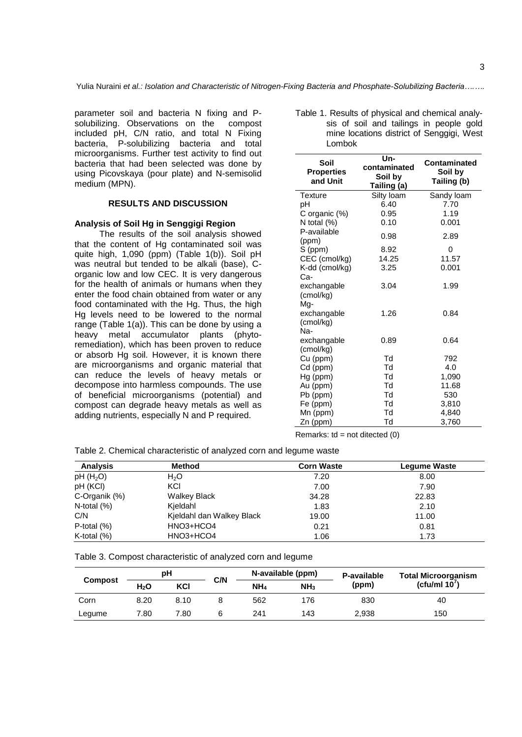parameter soil and bacteria N fixing and Psolubilizing. Observations on the compost included pH, C/N ratio, and total N Fixing bacteria, P-solubilizing bacteria and total microorganisms. Further test activity to find out bacteria that had been selected was done by using Picovskaya (pour plate) and N-semisolid medium (MPN).

#### **RESULTS AND DISCUSSION**

## **Analysis of Soil Hg in Senggigi Region**

The results of the soil analysis showed that the content of Hg contaminated soil was quite high, 1,090 (ppm) (Table 1(b)). Soil pH was neutral but tended to be alkali (base), Corganic low and low CEC. It is very dangerous for the health of animals or humans when they enter the food chain obtained from water or any food contaminated with the Hg. Thus, the high Hg levels need to be lowered to the normal range (Table 1(a)). This can be done by using a heavy metal accumulator plants (phytoremediation), which has been proven to reduce or absorb Hg soil. However, it is known there are microorganisms and organic material that can reduce the levels of heavy metals or decompose into harmless compounds. The use of beneficial microorganisms (potential) and compost can degrade heavy metals as well as adding nutrients, especially N and P required.

| Table 1. Results of physical and chemical analy- |        |  |  |                                           |  |
|--------------------------------------------------|--------|--|--|-------------------------------------------|--|
|                                                  |        |  |  | sis of soil and tailings in people gold   |  |
|                                                  | Lombok |  |  | mine locations district of Senggigi, West |  |

| Soil<br><b>Properties</b><br>and Unit | Un-<br>contaminated<br>Soil by<br>Tailing (a) | <b>Contaminated</b><br>Soil by<br>Tailing (b) |
|---------------------------------------|-----------------------------------------------|-----------------------------------------------|
| Texture                               | Silty loam                                    | Sandy loam                                    |
| pН                                    | 6.40                                          | 7.70                                          |
| C organic (%)                         | 0.95                                          | 1.19                                          |
| N total (%)                           | 0.10                                          | 0.001                                         |
| P-available<br>(ppm)                  | 0.98                                          | 2.89                                          |
| S (ppm)                               | 8.92                                          | 0                                             |
| CEC (cmol/kg)                         | 14.25                                         | 11.57                                         |
| K-dd (cmol/kg)                        | 3.25                                          | 0.001                                         |
| Ca-                                   |                                               |                                               |
| exchangable                           | 3.04                                          | 1.99                                          |
| (cmol/kg)                             |                                               |                                               |
| Mg-                                   |                                               |                                               |
| exchangable                           | 1.26                                          | 0.84                                          |
| (cmol/kg)                             |                                               |                                               |
| Na-                                   |                                               |                                               |
| exchangable                           | 0.89                                          | 0.64                                          |
| (cmol/kg)                             |                                               |                                               |
| Cu (ppm)                              | Td                                            | 792                                           |
| Cd (ppm)                              | Td                                            | 4.0                                           |
| Hg (ppm)                              | Td                                            | 1,090                                         |
| Au (ppm)                              | Td                                            | 11.68                                         |
| Pb (ppm)                              | Td                                            | 530                                           |
| Fe (ppm)                              | Td                                            | 3,810                                         |
| Mn (ppm)                              | Td                                            | 4,840                                         |
| Zn (ppm)                              | Td                                            | 3,760                                         |

Remarks:  $\text{td} = \text{not directed} (0)$ 

Table 2. Chemical characteristic of analyzed corn and legume waste

| <b>Analysis</b>      | <b>Method</b>             | <b>Corn Waste</b> | <b>Legume Waste</b> |
|----------------------|---------------------------|-------------------|---------------------|
| pH(H <sub>2</sub> O) | H <sub>2</sub> O          | 7.20              | 8.00                |
| pH (KCI)             | KCI                       | 7.00              | 7.90                |
| C-Organik (%)        | <b>Walkey Black</b>       | 34.28             | 22.83               |
| N-total $(\%)$       | Kjeldahl                  | 1.83              | 2.10                |
| C/N                  | Kjeldahl dan Walkey Black | 19.00             | 11.00               |
| P-total $(\%)$       | HNO3+HCO4                 | 0.21              | 0.81                |
| K-total $(\%)$       | HNO3+HCO4                 | 1.06              | 1.73                |

Table 3. Compost characteristic of analyzed corn and legume

| <b>Compost</b> | рH               |      |     |                 | N-available (ppm) | P-available | Total Microorganism |  |
|----------------|------------------|------|-----|-----------------|-------------------|-------------|---------------------|--|
|                | H <sub>2</sub> O | KCI  | C/N | NH <sub>4</sub> | NH <sub>3</sub>   | (ppm)       | (cfu/ml $10'$ )     |  |
| Corn           | 8.20             | 8.10 |     | 562             | 176               | 830         | 40                  |  |
| Legume         | 7.80             | 7.80 |     | 241             | 143               | 2,938       | 150                 |  |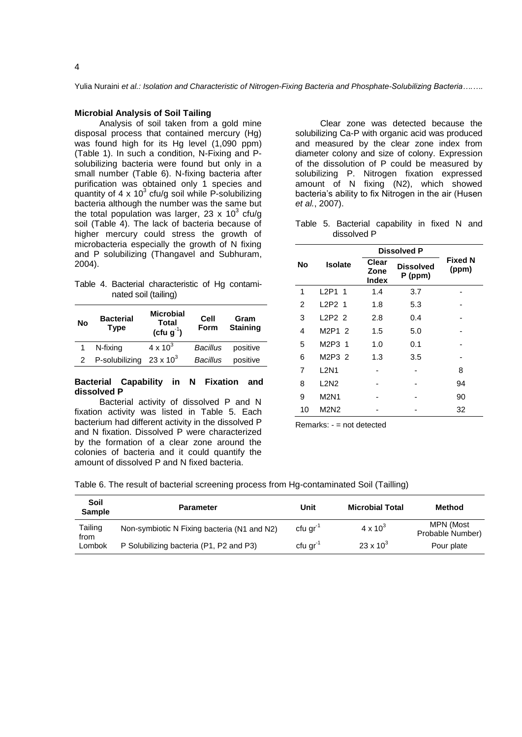Yulia Nuraini *et al.: Isolation and Characteristic of Nitrogen-Fixing Bacteria and Phosphate-Solubilizing Bacteria….….*

## **Microbial Analysis of Soil Tailing**

Analysis of soil taken from a gold mine disposal process that contained mercury (Hg) was found high for its Hg level (1,090 ppm) (Table 1). In such a condition, N-Fixing and Psolubilizing bacteria were found but only in a small number (Table 6). N-fixing bacteria after purification was obtained only 1 species and quantity of 4 x 10<sup>3</sup> cfu/g soil while P-solubilizing bacteria although the number was the same but the total population was larger, 23 x 10<sup>3</sup> cfu/g soil (Table 4). The lack of bacteria because of higher mercury could stress the growth of microbacteria especially the growth of N fixing and P solubilizing (Thangavel and Subhuram, 2004).

Table 4. Bacterial characteristic of Hg contaminated soil (tailing)

| No | <b>Bacterial</b><br><b>Type</b> | <b>Microbial</b><br><b>Total</b><br>(cfu $g^{-1}$ ) | Cell<br><b>Form</b> | Gram<br><b>Staining</b> |
|----|---------------------------------|-----------------------------------------------------|---------------------|-------------------------|
|    | N-fixing                        | $4 \times 10^{3}$                                   | <b>Bacillus</b>     | positive                |
|    | P-solubilizing                  | $23 \times 10^{3}$                                  | Bacillus            | positive                |

# **Bacterial Capability in N Fixation and dissolved P**

Bacterial activity of dissolved P and N fixation activity was listed in Table 5. Each bacterium had different activity in the dissolved P and N fixation. Dissolved P were characterized by the formation of a clear zone around the colonies of bacteria and it could quantify the amount of dissolved P and N fixed bacteria.

Clear zone was detected because the solubilizing Ca-P with organic acid was produced and measured by the clear zone index from diameter colony and size of colony. Expression of the dissolution of P could be measured by solubilizing P. Nitrogen fixation expressed amount of N fixing (N2), which showed bacteria's ability to fix Nitrogen in the air (Husen *et al.*, 2007).

Table 5. Bacterial capability in fixed N and dissolved P

|    |                                 | <b>Dissolved P</b>            |                               |                         |
|----|---------------------------------|-------------------------------|-------------------------------|-------------------------|
| No | <b>Isolate</b>                  | Clear<br>Zone<br><b>Index</b> | <b>Dissolved</b><br>$P$ (ppm) | <b>Fixed N</b><br>(ppm) |
| 1  | L2P1 1                          | 1.4                           | 3.7                           |                         |
| 2  | L <sub>2</sub> P <sub>2</sub> 1 | 1.8                           | 5.3                           |                         |
| 3  | L2P22                           | 2.8                           | 0.4                           |                         |
| 4  | M2P12                           | 1.5                           | 5.0                           |                         |
| 5  | M2P3 1                          | 1.0                           | 0.1                           |                         |
| 6  | M2P3 2                          | 1.3                           | 3.5                           |                         |
| 7  | <b>L2N1</b>                     |                               |                               | 8                       |
| 8  | L <sub>2</sub> N <sub>2</sub>   |                               |                               | 94                      |
| 9  | <b>M2N1</b>                     |                               |                               | 90                      |
| 10 | M2N2                            |                               |                               | 32                      |

Remarks: - = not detected

Table 6. The result of bacterial screening process from Hg-contaminated Soil (Tailling)

| Soil<br><b>Sample</b> | <b>Parameter</b>                            | Unit                 | <b>Microbial Total</b> | <b>Method</b>                 |
|-----------------------|---------------------------------------------|----------------------|------------------------|-------------------------------|
| Tailing<br>from       | Non-symbiotic N Fixing bacteria (N1 and N2) | cfu gr <sup>-1</sup> | $4 \times 10^3$        | MPN (Most<br>Probable Number) |
| Lombok                | P Solubilizing bacteria (P1, P2 and P3)     | cfu gr               | $23 \times 10^{3}$     | Pour plate                    |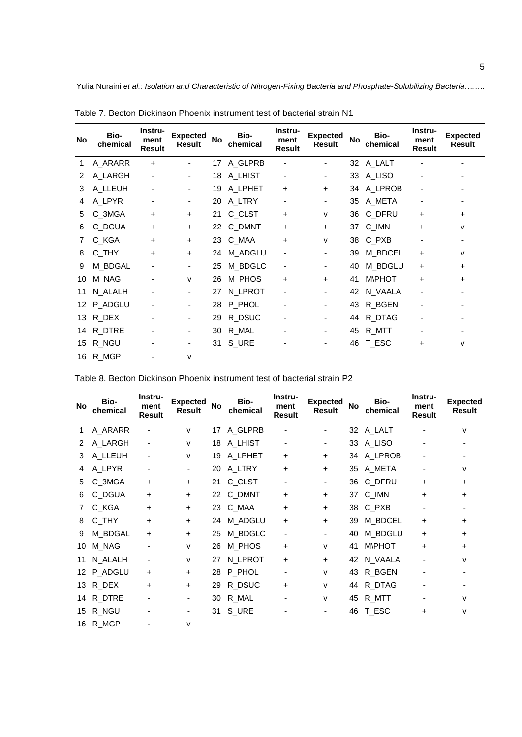Yulia Nuraini *et al.: Isolation and Characteristic of Nitrogen-Fixing Bacteria and Phosphate-Solubilizing Bacteria….….*

| No | Bio-<br>chemical | Instru-<br>ment<br>Result | <b>Expected</b><br><b>Result</b> | <b>No</b> | Bio-<br>chemical | Instru-<br>ment<br>Result | <b>Expected</b><br><b>Result</b> | <b>No</b> | Bio-<br>chemical | Instru-<br>ment<br><b>Result</b> | <b>Expected</b><br><b>Result</b> |
|----|------------------|---------------------------|----------------------------------|-----------|------------------|---------------------------|----------------------------------|-----------|------------------|----------------------------------|----------------------------------|
| 1. | A_ARARR          | $\ddot{}$                 | Ξ.                               | 17        | A_GLPRB          | $\overline{\phantom{a}}$  |                                  |           | 32 A_LALT        |                                  |                                  |
| 2  | A_LARGH          | ٠                         | Ξ.                               | 18        | A LHIST          | ۰                         | ۰                                | 33        | A_LISO           |                                  |                                  |
| 3  | A_LLEUH          | -                         | Ξ.                               | 19        | A_LPHET          | +                         | $\ddot{}$                        |           | 34 A_LPROB       | -                                |                                  |
| 4  | A_LPYR           | -                         | ۰                                | 20        | A LTRY           | ۰                         | ۰.                               | 35        | A_META           | -                                |                                  |
| 5  | C_3MGA           | $\ddot{}$                 | $+$                              | 21        | C_CLST           | +                         | v                                | 36        | C_DFRU           | $\ddot{}$                        | $\ddot{}$                        |
| 6  | C_DGUA           | $\ddot{}$                 | $+$                              | 22        | C_DMNT           | +                         | $\ddot{}$                        | 37        | C_IMN            | $\ddot{}$                        | v                                |
| 7  | C_KGA            | $\ddot{}$                 | $\ddot{}$                        | 23        | C_MAA            | +                         | v                                | 38        | $C_PXB$          |                                  |                                  |
| 8  | C_THY            | $\ddot{}$                 | $\ddot{}$                        | 24        | M_ADGLU          | ٠                         |                                  | 39        | M_BDCEL          | $\ddot{}$                        | v                                |
| 9  | M_BDGAL          |                           |                                  | 25        | M_BDGLC          | ۰                         |                                  | 40        | M_BDGLU          | $\ddot{}$                        | ٠                                |
| 10 | M_NAG            |                           | v                                | 26        | M_PHOS           | $\ddot{}$                 | $\ddot{}$                        | 41        | <b>M\PHOT</b>    | $\ddot{}$                        | ٠                                |
| 11 | N_ALALH          |                           |                                  | 27        | N_LPROT          | -                         | ۰                                | 42        | N_VAALA          |                                  |                                  |
| 12 | P_ADGLU          |                           |                                  | 28        | P_PHOL           |                           | ۰                                | 43        | R_BGEN           |                                  |                                  |
| 13 | R DEX            |                           |                                  | 29        | R_DSUC           | ٠                         |                                  | 44        | R_DTAG           |                                  |                                  |
| 14 | R_DTRE           |                           |                                  | 30        | R MAL            |                           | ۰                                | 45        | R_MTT            |                                  |                                  |
| 15 | R_NGU            |                           |                                  | 31        | S_URE            |                           | ۰                                | 46        | T_ESC            | $\ddot{}$                        | v                                |
| 16 | R MGP            |                           | v                                |           |                  |                           |                                  |           |                  |                                  |                                  |

Table 7. Becton Dickinson Phoenix instrument test of bacterial strain N1

| No | Bio-<br>chemical | Instru-<br>ment<br><b>Result</b> | <b>Expected</b><br><b>Result</b> | <b>No</b> | Bio-<br>chemical | Instru-<br>ment<br><b>Result</b> | <b>Expected</b><br><b>Result</b> | No | Bio-<br>chemical | Instru-<br>ment<br><b>Result</b> | <b>Expected</b><br><b>Result</b> |
|----|------------------|----------------------------------|----------------------------------|-----------|------------------|----------------------------------|----------------------------------|----|------------------|----------------------------------|----------------------------------|
| 1. | A_ARARR          |                                  | v                                |           | 17 A_GLPRB       |                                  |                                  |    | 32 A_LALT        |                                  | v                                |
| 2  | A_LARGH          |                                  | v                                | 18        | A LHIST          | $\overline{\phantom{a}}$         | ۰                                |    | 33 A_LISO        |                                  |                                  |
| 3  | A_LLEUH          |                                  | v                                | 19        | A_LPHET          | $\ddot{}$                        | $\ddot{}$                        |    | 34 A_LPROB       |                                  |                                  |
| 4  | A_LPYR           |                                  | ٠                                | 20        | A LTRY           | $\ddot{}$                        | +                                | 35 | A META           |                                  | v                                |
| 5  | C_3MGA           | $\ddot{}$                        | $\pm$                            |           | 21 C_CLST        | $\overline{\phantom{a}}$         |                                  | 36 | C_DFRU           | +                                | +                                |
| 6  | C_DGUA           | $\ddot{}$                        | $\pm$                            |           | 22 C_DMNT        | +                                | $\ddot{}$                        |    | 37 C_IMN         | +                                | +                                |
| 7  | C_KGA            | $\ddot{}$                        | $\pm$                            |           | 23 C_MAA         | +                                | $\ddot{}$                        |    | 38 C_PXB         |                                  |                                  |
| 8  | C_THY            | $\ddot{}$                        | $\pm$                            | 24        | M_ADGLU          | $\ddot{}$                        | $\ddot{}$                        | 39 | M_BDCEL          | $\pm$                            | $\pm$                            |
| 9  | M_BDGAL          | $\ddot{}$                        | ÷.                               | 25        | M_BDGLC          | $\overline{\phantom{a}}$         |                                  | 40 | M_BDGLU          | $\pm$                            | $\pm$                            |
| 10 | M_NAG            |                                  | v                                | 26        | M PHOS           | $\ddot{}$                        | $\mathsf{V}$                     | 41 | <b>MIPHOT</b>    | +                                | +                                |
| 11 | N_ALALH          |                                  | v                                | 27        | N_LPROT          | +                                | $\ddot{}$                        | 42 | N_VAALA          |                                  | v                                |
| 12 | P_ADGLU          | $\ddot{}$                        | ÷.                               | 28        | P_PHOL           | $\overline{\phantom{a}}$         | $\mathsf{V}$                     | 43 | R_BGEN           |                                  |                                  |
| 13 | R DEX            | +                                | $\pm$                            | 29        | R_DSUC           | +                                | $\mathsf{V}$                     | 44 | R_DTAG           |                                  |                                  |
| 14 | R_DTRE           |                                  |                                  | 30        | R_MAL            |                                  | v                                | 45 | R_MTT            |                                  | v                                |
| 15 | R_NGU            |                                  |                                  | 31        | S_URE            |                                  |                                  | 46 | T ESC            | +                                | v                                |

Table 8. Becton Dickinson Phoenix instrument test of bacterial strain P2

16 R\_MGP - v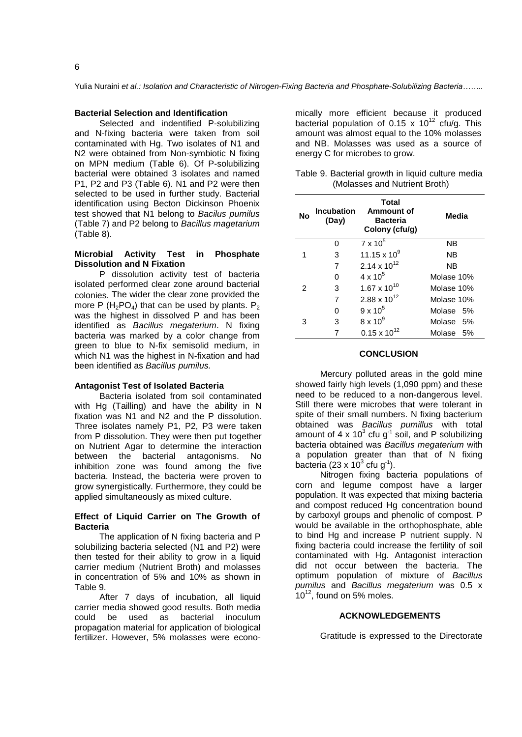Yulia Nuraini *et al.: Isolation and Characteristic of Nitrogen-Fixing Bacteria and Phosphate-Solubilizing Bacteria……..*

#### **Bacterial Selection and Identification**

Selected and indentified P-solubilizing and N-fixing bacteria were taken from soil contaminated with Hg. Two isolates of N1 and N2 were obtained from Non-symbiotic N fixing on MPN medium (Table 6). Of P-solubilizing bacterial were obtained 3 isolates and named P1, P2 and P3 (Table 6). N1 and P2 were then selected to be used in further study. Bacterial identification using Becton Dickinson Phoenix test showed that N1 belong to *Bacilus pumilus*  (Table 7) and P2 belong to *Bacillus magetarium*  (Table 8).

# **Microbial Activity Test in Phosphate Dissolution and N Fixation**

P dissolution activity test of bacteria isolated performed clear zone around bacterial colonies. The wider the clear zone provided the more P (H<sub>2</sub>PO<sub>4</sub>) that can be used by plants. P<sub>2</sub> was the highest in dissolved P and has been identified as *Bacillus megaterium*. N fixing bacteria was marked by a color change from green to blue to N-fix semisolid medium, in which N1 was the highest in N-fixation and had been identified as *Bacillus pumilus.*

## **Antagonist Test of Isolated Bacteria**

Bacteria isolated from soil contaminated with Hg (Tailling) and have the ability in N fixation was N1 and N2 and the P dissolution. Three isolates namely P1, P2, P3 were taken from P dissolution. They were then put together on Nutrient Agar to determine the interaction between the bacterial antagonisms. No inhibition zone was found among the five bacteria. Instead, the bacteria were proven to grow synergistically. Furthermore, they could be applied simultaneously as mixed culture.

## **Effect of Liquid Carrier on The Growth of Bacteria**

The application of N fixing bacteria and P solubilizing bacteria selected (N1 and P2) were then tested for their ability to grow in a liquid carrier medium (Nutrient Broth) and molasses in concentration of 5% and 10% as shown in Table 9.

After 7 days of incubation, all liquid carrier media showed good results. Both media could be used as bacterial inoculum propagation material for application of biological fertilizer. However, 5% molasses were econo-

mically more efficient because it produced bacterial population of 0.15 x  $10^{12}$  cfu/g. This amount was almost equal to the 10% molasses and NB. Molasses was used as a source of energy C for microbes to grow.

| Table 9. Bacterial growth in liquid culture media |                               |  |  |
|---------------------------------------------------|-------------------------------|--|--|
|                                                   | (Molasses and Nutrient Broth) |  |  |

| <b>No</b> | <b>Incubation</b><br>(Day) | Total<br>Ammount of<br><b>Bacteria</b><br>Colony (cfu/g) | Media      |  |  |
|-----------|----------------------------|----------------------------------------------------------|------------|--|--|
|           | O                          | $7 \times 10^5$                                          | <b>NB</b>  |  |  |
|           | 3                          | 11.15 x $10^9$                                           | ΝB         |  |  |
|           | 7                          | 2.14 x $10^{12}$                                         | <b>NB</b>  |  |  |
|           | O                          | $4 \times 10^{5}$                                        | Molase 10% |  |  |
| 2         | 3                          | $1.67 \times 10^{10}$                                    | Molase 10% |  |  |
|           | 7                          | $2.88 \times 10^{12}$                                    | Molase 10% |  |  |
|           | O                          | $9 \times 10^5$                                          | Molase 5%  |  |  |
| 3         | 3                          | $8 \times 10^9$                                          | Molase 5%  |  |  |
|           |                            | $0.15 \times 10^{12}$                                    | Molase 5%  |  |  |

#### **CONCLUSION**

Mercury polluted areas in the gold mine showed fairly high levels (1,090 ppm) and these need to be reduced to a non-dangerous level. Still there were microbes that were tolerant in spite of their small numbers. N fixing bacterium obtained was *Bacillus pumillus* with total amount of 4 x 10<sup>3</sup> cfu  $g^{-1}$  soil, and P solubilizing bacteria obtained was *Bacillus megaterium* with a population greater than that of N fixing bacteria (23 x  $10^3$  cfu g<sup>-1</sup>).

Nitrogen fixing bacteria populations of corn and legume compost have a larger population. It was expected that mixing bacteria and compost reduced Hg concentration bound by carboxyl groups and phenolic of compost. P would be available in the orthophosphate, able to bind Hg and increase P nutrient supply. N fixing bacteria could increase the fertility of soil contaminated with Hg. Antagonist interaction did not occur between the bacteria. The optimum population of mixture of *Bacillus pumilus* and *Bacillus megaterium* was 0.5 x  $10^{12}$ , found on 5% moles.

## **ACKNOWLEDGEMENTS**

Gratitude is expressed to the Directorate